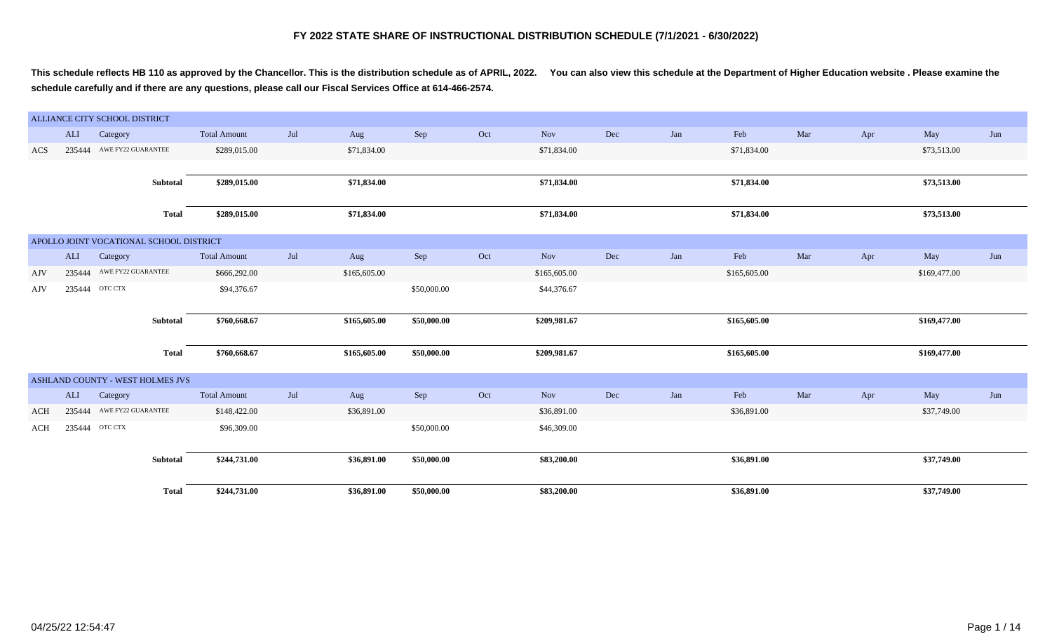**This schedule reflects HB 110 as approved by the Chancellor. This is the distribution schedule as of APRIL, 2022. You can also view this schedule at the Department of Higher Education website . Please examine the schedule carefully and if there are any questions, please call our Fiscal Services Office at 614-466-2574.**

|            |        | ALLIANCE CITY SCHOOL DISTRICT           |                     |     |              |             |     |              |     |     |              |     |     |              |     |
|------------|--------|-----------------------------------------|---------------------|-----|--------------|-------------|-----|--------------|-----|-----|--------------|-----|-----|--------------|-----|
|            | ALI    | Category                                | <b>Total Amount</b> | Jul | Aug          | Sep         | Oct | Nov          | Dec | Jan | Feb          | Mar | Apr | May          | Jun |
| ACS        | 235444 | AWE FY22 GUARANTEE                      | \$289,015.00        |     | \$71,834.00  |             |     | \$71,834.00  |     |     | \$71,834.00  |     |     | \$73,513.00  |     |
|            |        |                                         |                     |     |              |             |     |              |     |     |              |     |     |              |     |
|            |        | Subtotal                                | \$289,015.00        |     | \$71,834.00  |             |     | \$71,834.00  |     |     | \$71,834.00  |     |     | \$73,513.00  |     |
|            |        |                                         |                     |     |              |             |     |              |     |     |              |     |     |              |     |
|            |        | <b>Total</b>                            | \$289,015.00        |     | \$71,834.00  |             |     | \$71,834.00  |     |     | \$71,834.00  |     |     | \$73,513.00  |     |
|            |        | APOLLO JOINT VOCATIONAL SCHOOL DISTRICT |                     |     |              |             |     |              |     |     |              |     |     |              |     |
|            | ALI    | Category                                | <b>Total Amount</b> | Jul | Aug          | Sep         | Oct | Nov          | Dec | Jan | Feb          | Mar | Apr | May          | Jun |
| AJV        |        | 235444 AWE FY22 GUARANTEE               | \$666,292.00        |     | \$165,605.00 |             |     | \$165,605.00 |     |     | \$165,605.00 |     |     | \$169,477.00 |     |
| AJV        | 235444 | OTC CTX                                 | \$94,376.67         |     |              | \$50,000.00 |     | \$44,376.67  |     |     |              |     |     |              |     |
|            |        |                                         |                     |     |              |             |     |              |     |     |              |     |     |              |     |
|            |        | Subtotal                                | \$760,668.67        |     | \$165,605.00 | \$50,000.00 |     | \$209,981.67 |     |     | \$165,605.00 |     |     | \$169,477.00 |     |
|            |        | Total                                   | \$760,668.67        |     | \$165,605.00 | \$50,000.00 |     | \$209,981.67 |     |     | \$165,605.00 |     |     | \$169,477.00 |     |
|            |        |                                         |                     |     |              |             |     |              |     |     |              |     |     |              |     |
|            |        | ASHLAND COUNTY - WEST HOLMES JVS        |                     |     |              |             |     |              |     |     |              |     |     |              |     |
|            | ALI    | Category                                | <b>Total Amount</b> | Jul | Aug          | Sep         | Oct | Nov          | Dec | Jan | Feb          | Mar | Apr | May          | Jun |
| <b>ACH</b> |        | 235444 AWE FY22 GUARANTEE               | \$148,422.00        |     | \$36,891.00  |             |     | \$36,891.00  |     |     | \$36,891.00  |     |     | \$37,749.00  |     |
| <b>ACH</b> |        | 235444 OTC CTX                          | \$96,309.00         |     |              | \$50,000.00 |     | \$46,309.00  |     |     |              |     |     |              |     |
|            |        |                                         |                     |     |              |             |     |              |     |     |              |     |     |              |     |
|            |        | Subtotal                                | \$244,731.00        |     | \$36,891.00  | \$50,000.00 |     | \$83,200.00  |     |     | \$36,891.00  |     |     | \$37,749.00  |     |
|            |        |                                         |                     |     |              |             |     |              |     |     |              |     |     |              |     |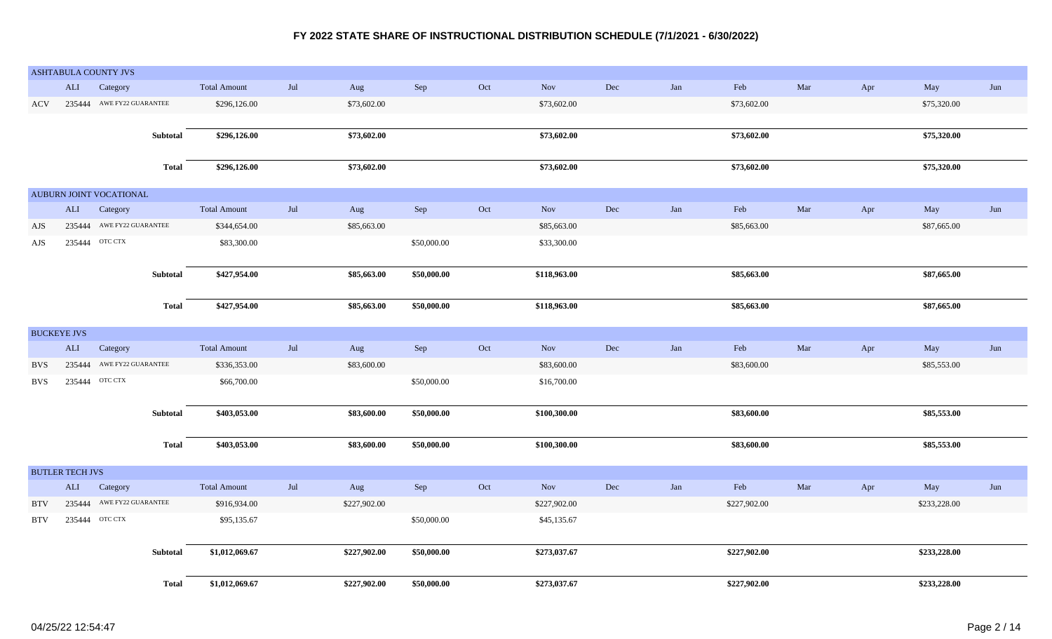|                    |                        | ASHTABULA COUNTY JVS      |                 |                     |                   |              |             |                             |              |     |             |              |     |     |              |     |
|--------------------|------------------------|---------------------------|-----------------|---------------------|-------------------|--------------|-------------|-----------------------------|--------------|-----|-------------|--------------|-----|-----|--------------|-----|
|                    | ALI                    | Category                  |                 | <b>Total Amount</b> | $_{\mathrm{Jul}}$ | Aug          | Sep         | Oct                         | <b>Nov</b>   | Dec | Jan         | Feb          | Mar | Apr | May          | Jun |
| <b>ACV</b>         |                        | 235444 AWE FY22 GUARANTEE |                 | \$296,126.00        |                   | \$73,602.00  |             |                             | \$73,602.00  |     |             | \$73,602.00  |     |     | \$75,320.00  |     |
|                    |                        |                           |                 |                     |                   |              |             |                             |              |     |             |              |     |     |              |     |
|                    |                        |                           | Subtotal        | \$296,126.00        |                   | \$73,602.00  |             |                             | \$73,602.00  |     |             | \$73,602.00  |     |     | \$75,320.00  |     |
|                    |                        |                           |                 |                     |                   |              |             |                             |              |     |             |              |     |     |              |     |
|                    |                        |                           | <b>Total</b>    | \$296,126.00        |                   | \$73,602.00  |             |                             | \$73,602.00  |     |             | \$73,602.00  |     |     | \$75,320.00  |     |
|                    |                        |                           |                 |                     |                   |              |             |                             |              |     |             |              |     |     |              |     |
|                    |                        | AUBURN JOINT VOCATIONAL   |                 |                     |                   |              |             |                             |              |     |             |              |     |     |              |     |
|                    | ALI                    | Category                  |                 | <b>Total Amount</b> | $_{\mathrm{Jul}}$ | Aug          | Sep         | $\mathop{\rm Oct}\nolimits$ | Nov          | Dec | ${\rm Jan}$ | Feb          | Mar | Apr | May          | Jun |
| AJS                |                        | 235444 AWE FY22 GUARANTEE |                 | \$344,654.00        |                   | \$85,663.00  |             |                             | \$85,663.00  |     |             | \$85,663.00  |     |     | \$87,665.00  |     |
| AJS                |                        | 235444 OTC CTX            |                 | \$83,300.00         |                   |              | \$50,000.00 |                             | \$33,300.00  |     |             |              |     |     |              |     |
|                    |                        |                           |                 |                     |                   |              |             |                             |              |     |             |              |     |     |              |     |
|                    |                        |                           | Subtotal        | \$427,954.00        |                   | \$85,663.00  | \$50,000.00 |                             | \$118,963.00 |     |             | \$85,663.00  |     |     | \$87,665.00  |     |
|                    |                        |                           |                 |                     |                   |              |             |                             |              |     |             |              |     |     |              |     |
|                    |                        |                           | <b>Total</b>    | \$427,954.00        |                   | \$85,663.00  | \$50,000.00 |                             | \$118,963.00 |     |             | \$85,663.00  |     |     | \$87,665.00  |     |
| <b>BUCKEYE JVS</b> |                        |                           |                 |                     |                   |              |             |                             |              |     |             |              |     |     |              |     |
|                    | <b>ALI</b>             | Category                  |                 | <b>Total Amount</b> | Jul               |              |             | Oct                         | Nov          | Dec | Jan         | Feb          | Mar |     |              | Jun |
|                    |                        | AWE FY22 GUARANTEE        |                 |                     |                   | Aug          | Sep         |                             |              |     |             |              |     | Apr | May          |     |
| <b>BVS</b>         | 235444                 |                           |                 | \$336,353.00        |                   | \$83,600.00  |             |                             | \$83,600.00  |     |             | \$83,600.00  |     |     | \$85,553.00  |     |
| <b>BVS</b>         |                        | 235444 ОТС СТХ            |                 | \$66,700.00         |                   |              | \$50,000.00 |                             | \$16,700.00  |     |             |              |     |     |              |     |
|                    |                        |                           | Subtotal        | \$403,053.00        |                   | \$83,600.00  | \$50,000.00 |                             | \$100,300.00 |     |             | \$83,600.00  |     |     | \$85,553.00  |     |
|                    |                        |                           |                 |                     |                   |              |             |                             |              |     |             |              |     |     |              |     |
|                    |                        |                           | <b>Total</b>    | \$403,053.00        |                   | \$83,600.00  | \$50,000.00 |                             | \$100,300.00 |     |             | \$83,600.00  |     |     | \$85,553.00  |     |
|                    |                        |                           |                 |                     |                   |              |             |                             |              |     |             |              |     |     |              |     |
|                    | <b>BUTLER TECH JVS</b> |                           |                 |                     |                   |              |             |                             |              |     |             |              |     |     |              |     |
|                    | <b>ALI</b>             | Category                  |                 | <b>Total Amount</b> | Jul               | Aug          | Sep         | Oct                         | <b>Nov</b>   | Dec | Jan         | Feb          | Mar | Apr | May          | Jun |
| <b>BTV</b>         |                        | 235444 AWE FY22 GUARANTEE |                 | \$916,934.00        |                   | \$227,902.00 |             |                             | \$227,902.00 |     |             | \$227,902.00 |     |     | \$233,228.00 |     |
| <b>BTV</b>         | 235444                 | OTC CTX                   |                 | \$95,135.67         |                   |              | \$50,000.00 |                             | \$45,135.67  |     |             |              |     |     |              |     |
|                    |                        |                           |                 |                     |                   |              |             |                             |              |     |             |              |     |     |              |     |
|                    |                        |                           | <b>Subtotal</b> | \$1,012,069.67      |                   | \$227,902.00 | \$50,000.00 |                             | \$273,037.67 |     |             | \$227,902.00 |     |     | \$233,228.00 |     |
|                    |                        |                           |                 |                     |                   |              |             |                             |              |     |             |              |     |     |              |     |
|                    |                        |                           | <b>Total</b>    | \$1,012,069.67      |                   | \$227,902.00 | \$50,000.00 |                             | \$273,037.67 |     |             | \$227,902.00 |     |     | \$233,228.00 |     |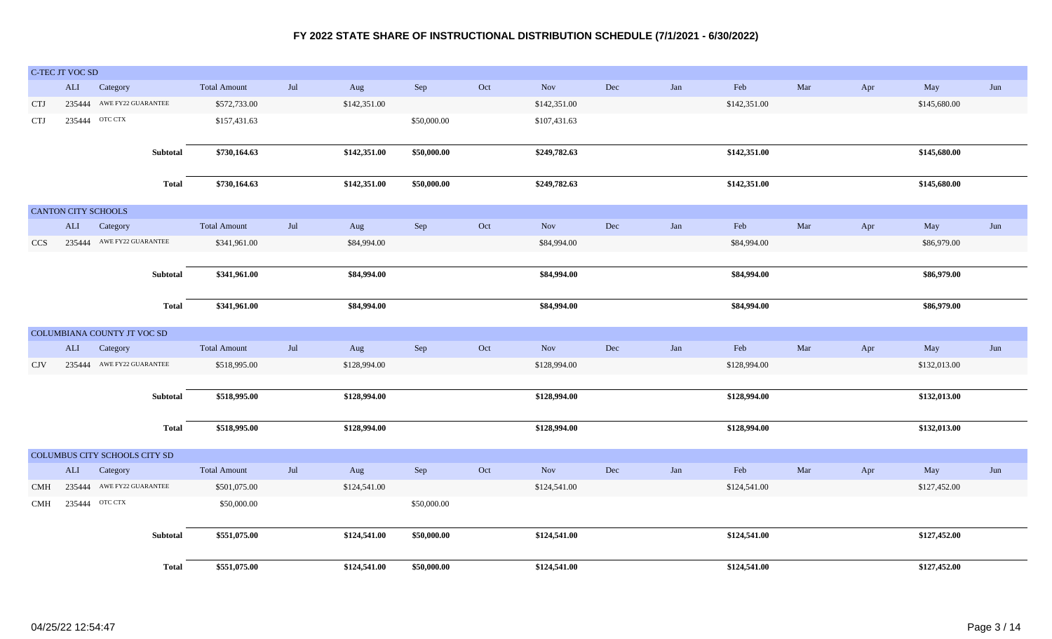|            | C-TEC JT VOC SD            |                               |              |                     |     |              |             |     |              |     |     |              |     |     |              |     |
|------------|----------------------------|-------------------------------|--------------|---------------------|-----|--------------|-------------|-----|--------------|-----|-----|--------------|-----|-----|--------------|-----|
|            | <b>ALI</b>                 | Category                      |              | <b>Total Amount</b> | Jul | Aug          | Sep         | Oct | Nov          | Dec | Jan | Feb          | Mar | Apr | May          | Jun |
| <b>CTJ</b> |                            | 235444 AWE FY22 GUARANTEE     |              | \$572,733.00        |     | \$142,351.00 |             |     | \$142,351.00 |     |     | \$142,351.00 |     |     | \$145,680.00 |     |
| <b>CTJ</b> |                            | 235444 OTC CTX                |              | \$157,431.63        |     |              | \$50,000.00 |     | \$107,431.63 |     |     |              |     |     |              |     |
|            |                            |                               |              |                     |     |              |             |     |              |     |     |              |     |     |              |     |
|            |                            |                               | Subtotal     | \$730,164.63        |     | \$142,351.00 | \$50,000.00 |     | \$249,782.63 |     |     | \$142,351.00 |     |     | \$145,680.00 |     |
|            |                            |                               |              |                     |     |              |             |     |              |     |     |              |     |     |              |     |
|            |                            |                               | <b>Total</b> | \$730,164.63        |     | \$142,351.00 | \$50,000.00 |     | \$249,782.63 |     |     | \$142,351.00 |     |     | \$145,680.00 |     |
|            | <b>CANTON CITY SCHOOLS</b> |                               |              |                     |     |              |             |     |              |     |     |              |     |     |              |     |
|            | ALI                        | Category                      |              | <b>Total Amount</b> | Jul | Aug          | Sep         | Oct | <b>Nov</b>   | Dec | Jan | Feb          | Mar | Apr | May          | Jun |
| <b>CCS</b> |                            | 235444 AWE FY22 GUARANTEE     |              | \$341,961.00        |     | \$84,994.00  |             |     | \$84,994.00  |     |     | \$84,994.00  |     |     | \$86,979.00  |     |
|            |                            |                               |              |                     |     |              |             |     |              |     |     |              |     |     |              |     |
|            |                            |                               | Subtotal     | \$341,961.00        |     | \$84,994.00  |             |     | \$84,994.00  |     |     | \$84,994.00  |     |     | \$86,979.00  |     |
|            |                            |                               |              |                     |     |              |             |     |              |     |     |              |     |     |              |     |
|            |                            |                               | <b>Total</b> | \$341,961.00        |     | \$84,994.00  |             |     | \$84,994.00  |     |     | \$84,994.00  |     |     | \$86,979.00  |     |
|            |                            |                               |              |                     |     |              |             |     |              |     |     |              |     |     |              |     |
|            |                            | COLUMBIANA COUNTY JT VOC SD   |              |                     |     |              |             |     |              |     |     |              |     |     |              |     |
|            | ALI                        | Category                      |              | <b>Total Amount</b> | Jul | Aug          | Sep         | Oct | <b>Nov</b>   | Dec | Jan | Feb          | Mar | Apr | May          | Jun |
| <b>CJV</b> |                            | 235444 AWE FY22 GUARANTEE     |              | \$518,995.00        |     | \$128,994.00 |             |     | \$128,994.00 |     |     | \$128,994.00 |     |     | \$132,013.00 |     |
|            |                            |                               |              | \$518,995.00        |     | \$128,994.00 |             |     | \$128,994.00 |     |     | \$128,994.00 |     |     | \$132,013.00 |     |
|            |                            |                               | Subtotal     |                     |     |              |             |     |              |     |     |              |     |     |              |     |
|            |                            |                               | <b>Total</b> | \$518,995.00        |     | \$128,994.00 |             |     | \$128,994.00 |     |     | \$128,994.00 |     |     | \$132,013.00 |     |
|            |                            |                               |              |                     |     |              |             |     |              |     |     |              |     |     |              |     |
|            |                            | COLUMBUS CITY SCHOOLS CITY SD |              |                     |     |              |             |     |              |     |     |              |     |     |              |     |
|            | ALI                        | Category                      |              | <b>Total Amount</b> | Jul | Aug          | Sep         | Oct | Nov          | Dec | Jan | Feb          | Mar | Apr | May          | Jun |
| <b>CMH</b> |                            | 235444 AWE FY22 GUARANTEE     |              | \$501,075.00        |     | \$124,541.00 |             |     | \$124,541.00 |     |     | \$124,541.00 |     |     | \$127,452.00 |     |
| <b>CMH</b> |                            | 235444 ОТС СТХ                |              | \$50,000.00         |     |              | \$50,000.00 |     |              |     |     |              |     |     |              |     |
|            |                            |                               |              |                     |     |              |             |     |              |     |     |              |     |     |              |     |
|            |                            |                               | Subtotal     | \$551,075.00        |     | \$124,541.00 | \$50,000.00 |     | \$124,541.00 |     |     | \$124,541.00 |     |     | \$127,452.00 |     |
|            |                            |                               |              |                     |     |              |             |     |              |     |     |              |     |     |              |     |
|            |                            |                               | <b>Total</b> | \$551,075.00        |     | \$124,541.00 | \$50,000.00 |     | \$124,541.00 |     |     | \$124,541.00 |     |     | \$127,452.00 |     |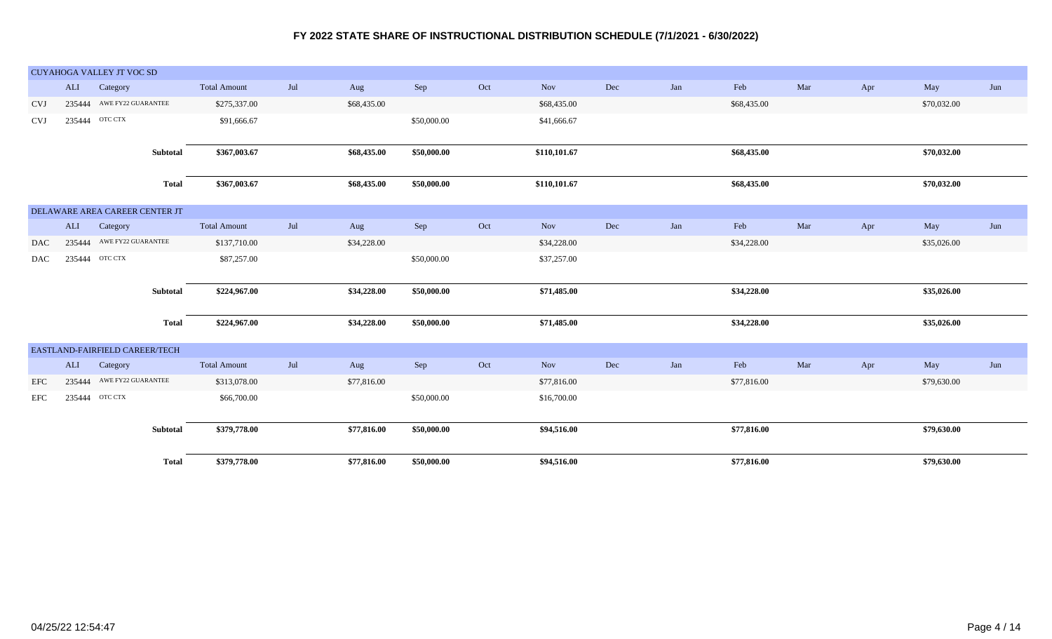|            |            | CUYAHOGA VALLEY JT VOC SD      |                     |     |             |             |     |              |     |     |             |     |     |             |     |
|------------|------------|--------------------------------|---------------------|-----|-------------|-------------|-----|--------------|-----|-----|-------------|-----|-----|-------------|-----|
|            | ALI        | Category                       | <b>Total Amount</b> | Jul | Aug         | Sep         | Oct | Nov          | Dec | Jan | Feb         | Mar | Apr | May         | Jun |
| <b>CVJ</b> |            | 235444 AWE FY22 GUARANTEE      | \$275,337.00        |     | \$68,435.00 |             |     | \$68,435.00  |     |     | \$68,435.00 |     |     | \$70,032.00 |     |
| <b>CVJ</b> |            | 235444 OTC CTX                 | \$91,666.67         |     |             | \$50,000.00 |     | \$41,666.67  |     |     |             |     |     |             |     |
|            |            |                                |                     |     |             |             |     |              |     |     |             |     |     |             |     |
|            |            | Subtotal                       | \$367,003.67        |     | \$68,435.00 | \$50,000.00 |     | \$110,101.67 |     |     | \$68,435.00 |     |     | \$70,032.00 |     |
|            |            | <b>Total</b>                   | \$367,003.67        |     | \$68,435.00 | \$50,000.00 |     | \$110,101.67 |     |     | \$68,435.00 |     |     | \$70,032.00 |     |
|            |            |                                |                     |     |             |             |     |              |     |     |             |     |     |             |     |
|            |            | DELAWARE AREA CAREER CENTER JT |                     |     |             |             |     |              |     |     |             |     |     |             |     |
|            | <b>ALI</b> | Category                       | <b>Total Amount</b> | Jul | Aug         | Sep         | Oct | <b>Nov</b>   | Dec | Jan | Feb         | Mar | Apr | May         | Jun |
| <b>DAC</b> |            | 235444 AWE FY22 GUARANTEE      | \$137,710.00        |     | \$34,228.00 |             |     | \$34,228.00  |     |     | \$34,228.00 |     |     | \$35,026.00 |     |
| DAC        |            | 235444 OTC CTX                 | \$87,257.00         |     |             | \$50,000.00 |     | \$37,257.00  |     |     |             |     |     |             |     |
|            |            |                                |                     |     |             |             |     |              |     |     |             |     |     |             |     |
|            |            | Subtotal                       | \$224,967.00        |     | \$34,228.00 | \$50,000.00 |     | \$71,485.00  |     |     | \$34,228.00 |     |     | \$35,026.00 |     |
|            |            | <b>Total</b>                   | \$224,967.00        |     | \$34,228.00 | \$50,000.00 |     | \$71,485.00  |     |     | \$34,228.00 |     |     | \$35,026.00 |     |
|            |            |                                |                     |     |             |             |     |              |     |     |             |     |     |             |     |
|            |            | EASTLAND-FAIRFIELD CAREER/TECH |                     |     |             |             |     |              |     |     |             |     |     |             |     |
|            | <b>ALI</b> | Category                       | <b>Total Amount</b> | Jul | Aug         | Sep         | Oct | Nov          | Dec | Jan | Feb         | Mar | Apr | May         | Jun |
| EFC        | 235444     | AWE FY22 GUARANTEE             | \$313,078.00        |     | \$77,816.00 |             |     | \$77,816.00  |     |     | \$77,816.00 |     |     | \$79,630.00 |     |
| EFC        |            | 235444 OTC CTX                 | \$66,700.00         |     |             | \$50,000.00 |     | \$16,700.00  |     |     |             |     |     |             |     |
|            |            |                                |                     |     |             |             |     |              |     |     |             |     |     |             |     |
|            |            | Subtotal                       | \$379,778.00        |     | \$77,816.00 | \$50,000.00 |     | \$94,516.00  |     |     | \$77,816.00 |     |     | \$79,630.00 |     |
|            |            |                                |                     |     |             |             |     |              |     |     |             |     |     |             |     |
|            |            | <b>Total</b>                   | \$379,778.00        |     | \$77,816.00 | \$50,000.00 |     | \$94,516.00  |     |     | \$77,816.00 |     |     | \$79,630.00 |     |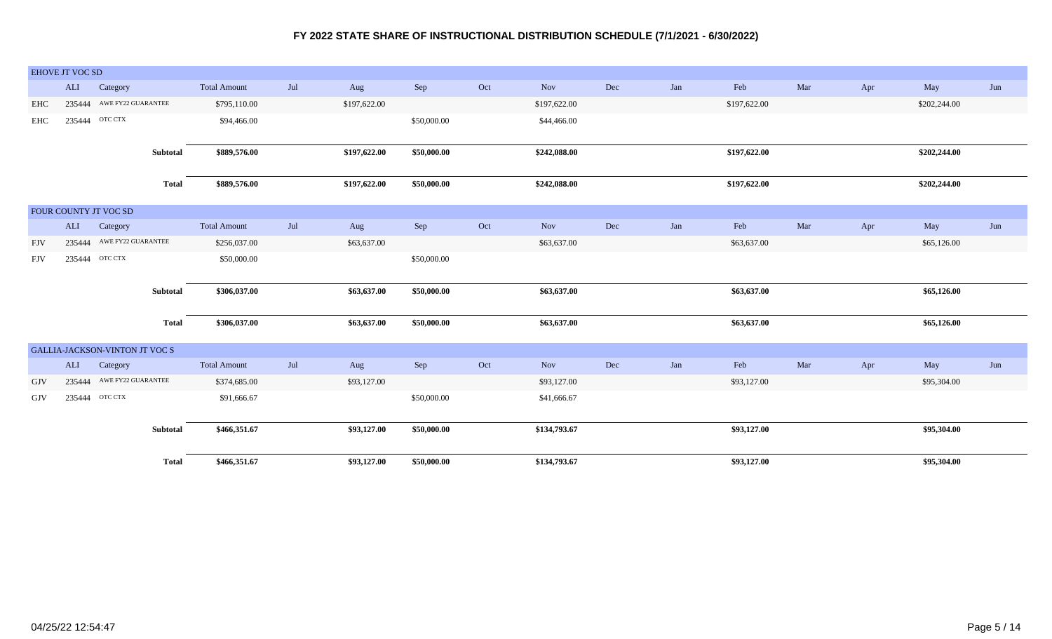|            | <b>EHOVE JT VOC SD</b> |                                |              |                     |     |              |             |     |              |     |     |              |     |     |              |     |
|------------|------------------------|--------------------------------|--------------|---------------------|-----|--------------|-------------|-----|--------------|-----|-----|--------------|-----|-----|--------------|-----|
|            | ALI                    | Category                       |              | <b>Total Amount</b> | Jul | Aug          | Sep         | Oct | Nov          | Dec | Jan | ${\rm Feb}$  | Mar | Apr | May          | Jun |
| EHC        |                        | 235444 AWE FY22 GUARANTEE      |              | \$795,110.00        |     | \$197,622.00 |             |     | \$197,622.00 |     |     | \$197,622.00 |     |     | \$202,244.00 |     |
| EHC        | 235444                 | OTC CTX                        |              | \$94,466.00         |     |              | \$50,000.00 |     | \$44,466.00  |     |     |              |     |     |              |     |
|            |                        |                                |              |                     |     |              |             |     |              |     |     |              |     |     |              |     |
|            |                        |                                | Subtotal     | \$889,576.00        |     | \$197,622.00 | \$50,000.00 |     | \$242,088.00 |     |     | \$197,622.00 |     |     | \$202,244.00 |     |
|            |                        |                                | <b>Total</b> | \$889,576.00        |     | \$197,622.00 | \$50,000.00 |     | \$242,088.00 |     |     | \$197,622.00 |     |     | \$202,244.00 |     |
|            |                        |                                |              |                     |     |              |             |     |              |     |     |              |     |     |              |     |
|            |                        | FOUR COUNTY JT VOC SD          |              |                     |     |              |             |     |              |     |     |              |     |     |              |     |
|            |                        | ALI Category                   |              | <b>Total Amount</b> | Jul | Aug          | Sep         | Oct | Nov          | Dec | Jan | Feb          | Mar | Apr | May          | Jun |
| <b>FJV</b> |                        | 235444 AWE FY22 GUARANTEE      |              | \$256,037.00        |     | \$63,637.00  |             |     | \$63,637.00  |     |     | \$63,637.00  |     |     | \$65,126.00  |     |
| <b>FJV</b> |                        | 235444 OTC CTX                 |              | \$50,000.00         |     |              | \$50,000.00 |     |              |     |     |              |     |     |              |     |
|            |                        |                                |              |                     |     |              |             |     |              |     |     |              |     |     |              |     |
|            |                        |                                | Subtotal     | \$306,037.00        |     | \$63,637.00  | \$50,000.00 |     | \$63,637.00  |     |     | \$63,637.00  |     |     | \$65,126.00  |     |
|            |                        |                                |              |                     |     |              |             |     |              |     |     |              |     |     |              |     |
|            |                        |                                | <b>Total</b> | \$306,037.00        |     | \$63,637.00  | \$50,000.00 |     | \$63,637.00  |     |     | \$63,637.00  |     |     | \$65,126.00  |     |
|            |                        | GALLIA-JACKSON-VINTON JT VOC S |              |                     |     |              |             |     |              |     |     |              |     |     |              |     |
|            | ALI                    | Category                       |              | <b>Total Amount</b> | Jul | Aug          | Sep         | Oct | Nov          | Dec | Jan | ${\rm Feb}$  | Mar | Apr | May          | Jun |
| GJV        | 235444                 | AWE FY22 GUARANTEE             |              | \$374,685.00        |     | \$93,127.00  |             |     | \$93,127.00  |     |     | \$93,127.00  |     |     | \$95,304.00  |     |
|            |                        |                                |              |                     |     |              |             |     |              |     |     |              |     |     |              |     |
| GJV        |                        | 235444 OTC CTX                 |              | \$91,666.67         |     |              | \$50,000.00 |     | \$41,666.67  |     |     |              |     |     |              |     |
|            |                        |                                |              |                     |     |              |             |     |              |     |     |              |     |     |              |     |
|            |                        |                                | Subtotal     | \$466,351.67        |     | \$93,127.00  | \$50,000.00 |     | \$134,793.67 |     |     | \$93,127.00  |     |     | \$95,304.00  |     |
|            |                        |                                | <b>Total</b> | \$466,351.67        |     | \$93,127.00  | \$50,000.00 |     | \$134,793.67 |     |     | \$93,127.00  |     |     | \$95,304.00  |     |
|            |                        |                                |              |                     |     |              |             |     |              |     |     |              |     |     |              |     |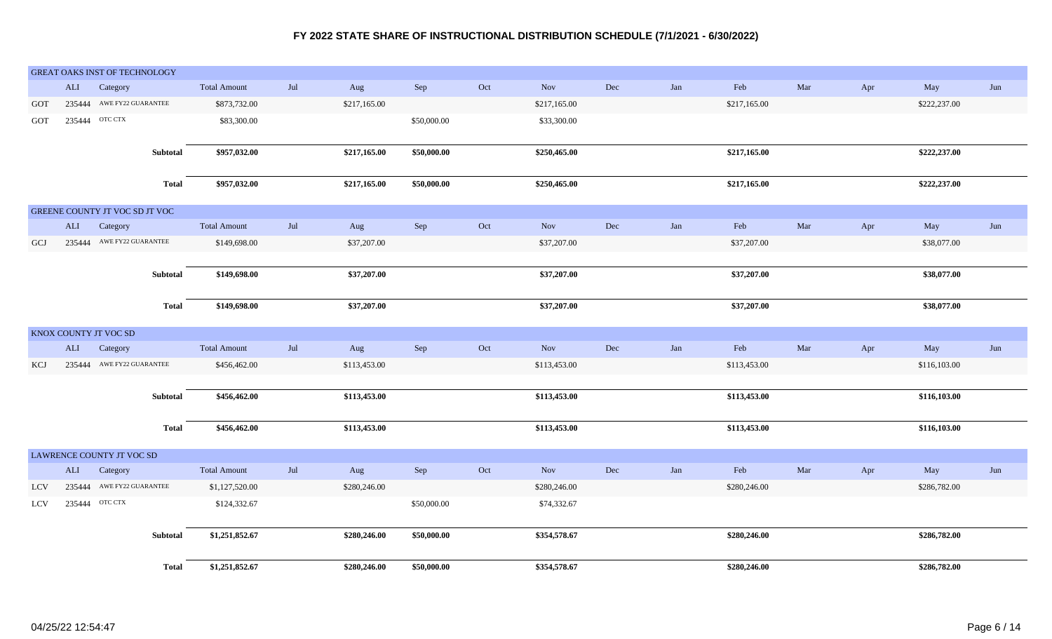|            |              | <b>GREAT OAKS INST OF TECHNOLOGY</b> |                     |                |              |             |     |              |     |     |              |     |     |              |     |
|------------|--------------|--------------------------------------|---------------------|----------------|--------------|-------------|-----|--------------|-----|-----|--------------|-----|-----|--------------|-----|
|            | ALI          | Category                             | <b>Total Amount</b> | $\mathrm{Jul}$ | Aug          | Sep         | Oct | Nov          | Dec | Jan | Feb          | Mar | Apr | May          | Jun |
| GOT        |              | 235444 AWE FY22 GUARANTEE            | \$873,732.00        |                | \$217,165.00 |             |     | \$217,165.00 |     |     | \$217,165.00 |     |     | \$222,237.00 |     |
| GOT        |              | 235444 OTC CTX                       | \$83,300.00         |                |              | \$50,000.00 |     | \$33,300.00  |     |     |              |     |     |              |     |
|            |              |                                      |                     |                |              |             |     |              |     |     |              |     |     |              |     |
|            |              | Subtotal                             | \$957,032.00        |                | \$217,165.00 | \$50,000.00 |     | \$250,465.00 |     |     | \$217,165.00 |     |     | \$222,237.00 |     |
|            |              |                                      |                     |                |              |             |     |              |     |     |              |     |     |              |     |
|            |              | <b>Total</b>                         | \$957,032.00        |                | \$217,165.00 | \$50,000.00 |     | \$250,465.00 |     |     | \$217,165.00 |     |     | \$222,237.00 |     |
|            |              | GREENE COUNTY JT VOC SD JT VOC       |                     |                |              |             |     |              |     |     |              |     |     |              |     |
|            | ALI          | Category                             | <b>Total Amount</b> | Jul            | Aug          | Sep         | Oct | Nov          | Dec | Jan | Feb          | Mar | Apr | May          | Jun |
| GCJ        |              | 235444 AWE FY22 GUARANTEE            | \$149,698.00        |                | \$37,207.00  |             |     | \$37,207.00  |     |     | \$37,207.00  |     |     | \$38,077.00  |     |
|            |              |                                      |                     |                |              |             |     |              |     |     |              |     |     |              |     |
|            |              | Subtotal                             | \$149,698.00        |                | \$37,207.00  |             |     | \$37,207.00  |     |     | \$37,207.00  |     |     | \$38,077.00  |     |
|            |              |                                      |                     |                |              |             |     |              |     |     |              |     |     |              |     |
|            |              | <b>Total</b>                         | \$149,698.00        |                | \$37,207.00  |             |     | \$37,207.00  |     |     | \$37,207.00  |     |     | \$38,077.00  |     |
|            |              | KNOX COUNTY JT VOC SD                |                     |                |              |             |     |              |     |     |              |     |     |              |     |
|            | $\mbox{ALI}$ | Category                             | <b>Total Amount</b> | Jul            | Aug          | Sep         | Oct | Nov          | Dec | Jan | Feb          | Mar | Apr | May          | Jun |
| <b>KCJ</b> |              | 235444 AWE FY22 GUARANTEE            | \$456,462.00        |                | \$113,453.00 |             |     | \$113,453.00 |     |     | \$113,453.00 |     |     | \$116,103.00 |     |
|            |              |                                      |                     |                |              |             |     |              |     |     |              |     |     |              |     |
|            |              | Subtotal                             | \$456,462.00        |                | \$113,453.00 |             |     | \$113,453.00 |     |     | \$113,453.00 |     |     | \$116,103.00 |     |
|            |              |                                      |                     |                |              |             |     |              |     |     |              |     |     |              |     |
|            |              | <b>Total</b>                         | \$456,462.00        |                | \$113,453.00 |             |     | \$113,453.00 |     |     | \$113,453.00 |     |     | \$116,103.00 |     |
|            |              | LAWRENCE COUNTY JT VOC SD            |                     |                |              |             |     |              |     |     |              |     |     |              |     |
|            | ALI          | Category                             | <b>Total Amount</b> | $\mathrm{Jul}$ | Aug          | Sep         | Oct | Nov          | Dec | Jan | Feb          | Mar | Apr | May          | Jun |
| <b>LCV</b> |              | 235444 AWE FY22 GUARANTEE            | \$1,127,520.00      |                | \$280,246.00 |             |     | \$280,246.00 |     |     | \$280,246.00 |     |     | \$286,782.00 |     |
| LCV        |              | 235444 OTC CTX                       | \$124,332.67        |                |              | \$50,000.00 |     | \$74,332.67  |     |     |              |     |     |              |     |
|            |              |                                      |                     |                |              |             |     |              |     |     |              |     |     |              |     |
|            |              | <b>Subtotal</b>                      | \$1,251,852.67      |                | \$280,246.00 | \$50,000.00 |     | \$354,578.67 |     |     | \$280,246.00 |     |     | \$286,782.00 |     |
|            |              |                                      |                     |                |              |             |     |              |     |     |              |     |     |              |     |
|            |              | <b>Total</b>                         | \$1,251,852.67      |                | \$280,246.00 | \$50,000.00 |     | \$354,578.67 |     |     | \$280,246.00 |     |     | \$286,782.00 |     |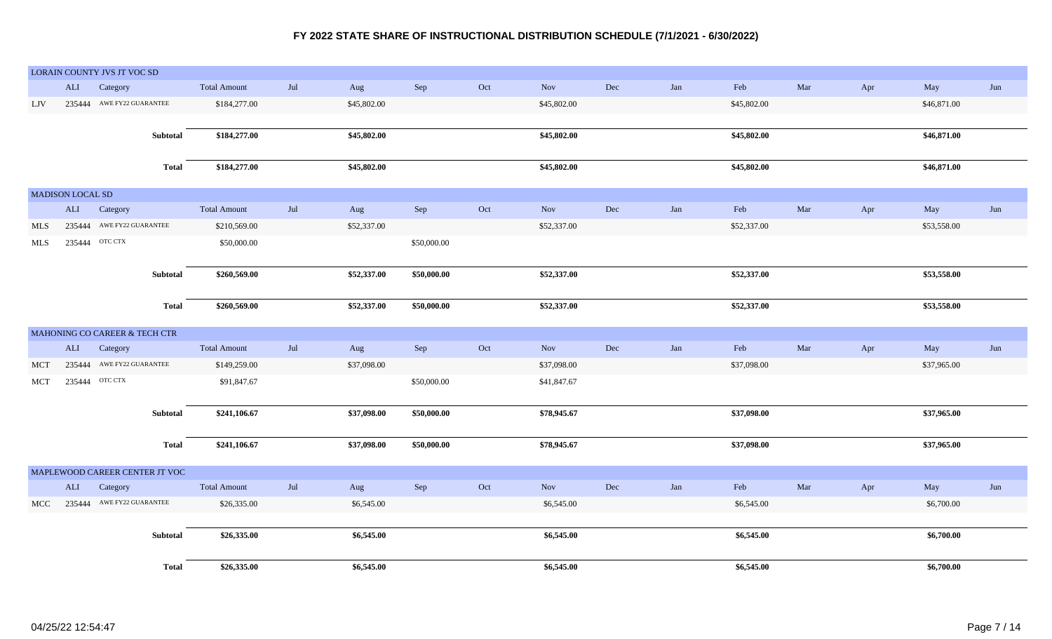|            |                         | LORAIN COUNTY JVS JT VOC SD    |              |                     |     |             |             |                             |             |           |     |             |     |     |             |     |
|------------|-------------------------|--------------------------------|--------------|---------------------|-----|-------------|-------------|-----------------------------|-------------|-----------|-----|-------------|-----|-----|-------------|-----|
|            | ALI                     | Category                       |              | <b>Total Amount</b> | Jul | Aug         | Sep         | Oct                         | Nov         | Dec       | Jan | Feb         | Mar | Apr | May         | Jun |
| LJV        |                         | 235444 AWE FY22 GUARANTEE      |              | \$184,277.00        |     | \$45,802.00 |             |                             | \$45,802.00 |           |     | \$45,802.00 |     |     | \$46,871.00 |     |
|            |                         |                                |              |                     |     |             |             |                             |             |           |     |             |     |     |             |     |
|            |                         |                                | Subtotal     | \$184,277.00        |     | \$45,802.00 |             |                             | \$45,802.00 |           |     | \$45,802.00 |     |     | \$46,871.00 |     |
|            |                         |                                |              |                     |     |             |             |                             |             |           |     |             |     |     |             |     |
|            |                         |                                | <b>Total</b> | \$184,277.00        |     | \$45,802.00 |             |                             | \$45,802.00 |           |     | \$45,802.00 |     |     | \$46,871.00 |     |
|            |                         |                                |              |                     |     |             |             |                             |             |           |     |             |     |     |             |     |
|            | <b>MADISON LOCAL SD</b> |                                |              |                     |     |             |             |                             |             |           |     |             |     |     |             |     |
|            | $\mbox{ALI}$            | Category                       |              | <b>Total Amount</b> | Jul | Aug         | Sep         | Oct                         | Nov         | Dec       | Jan | Feb         | Mar | Apr | May         | Jun |
| MLS        |                         | 235444 AWE FY22 GUARANTEE      |              | \$210,569.00        |     | \$52,337.00 |             |                             | \$52,337.00 |           |     | \$52,337.00 |     |     | \$53,558.00 |     |
| <b>MLS</b> |                         | 235444 OTC CTX                 |              | \$50,000.00         |     |             | \$50,000.00 |                             |             |           |     |             |     |     |             |     |
|            |                         |                                |              |                     |     |             |             |                             |             |           |     |             |     |     |             |     |
|            |                         |                                | Subtotal     | \$260,569.00        |     | \$52,337.00 | \$50,000.00 |                             | \$52,337.00 |           |     | \$52,337.00 |     |     | \$53,558.00 |     |
|            |                         |                                |              |                     |     |             |             |                             |             |           |     |             |     |     |             |     |
|            |                         |                                | <b>Total</b> | \$260,569.00        |     | \$52,337.00 | \$50,000.00 |                             | \$52,337.00 |           |     | \$52,337.00 |     |     | \$53,558.00 |     |
|            |                         |                                |              |                     |     |             |             |                             |             |           |     |             |     |     |             |     |
|            |                         | MAHONING CO CAREER & TECH CTR  |              |                     |     |             |             |                             |             |           |     |             |     |     |             |     |
|            | ALI                     | Category                       |              | <b>Total Amount</b> | Jul | Aug         | Sep         | Oct                         | Nov         | Dec       | Jan | Feb         | Mar | Apr | May         | Jun |
| <b>MCT</b> |                         | 235444 AWE FY22 GUARANTEE      |              | \$149,259.00        |     | \$37,098.00 |             |                             | \$37,098.00 |           |     | \$37,098.00 |     |     | \$37,965.00 |     |
| MCT        |                         | 235444 OTC CTX                 |              | \$91,847.67         |     |             | \$50,000.00 |                             | \$41,847.67 |           |     |             |     |     |             |     |
|            |                         |                                |              |                     |     |             |             |                             |             |           |     |             |     |     |             |     |
|            |                         |                                | Subtotal     | \$241,106.67        |     | \$37,098.00 | \$50,000.00 |                             | \$78,945.67 |           |     | \$37,098.00 |     |     | \$37,965.00 |     |
|            |                         |                                |              |                     |     |             |             |                             |             |           |     |             |     |     |             |     |
|            |                         |                                | <b>Total</b> | \$241,106.67        |     | \$37,098.00 | \$50,000.00 |                             | \$78,945.67 |           |     | \$37,098.00 |     |     | \$37,965.00 |     |
|            |                         |                                |              |                     |     |             |             |                             |             |           |     |             |     |     |             |     |
|            |                         | MAPLEWOOD CAREER CENTER JT VOC |              |                     |     |             |             |                             |             |           |     |             |     |     |             |     |
|            | ALI                     | Category                       |              | <b>Total Amount</b> | Jul | Aug         | Sep         | $\mathop{\rm Oct}\nolimits$ | Nov         | $\rm Dec$ | Jan | Feb         | Mar | Apr | May         | Jun |
| <b>MCC</b> |                         | 235444 AWE FY22 GUARANTEE      |              | \$26,335.00         |     | \$6,545.00  |             |                             | \$6,545.00  |           |     | \$6,545.00  |     |     | \$6,700.00  |     |
|            |                         |                                |              |                     |     |             |             |                             |             |           |     |             |     |     |             |     |
|            |                         |                                | Subtotal     | \$26,335.00         |     | \$6,545.00  |             |                             | \$6,545.00  |           |     | \$6,545.00  |     |     | \$6,700.00  |     |
|            |                         |                                |              |                     |     |             |             |                             |             |           |     |             |     |     |             |     |
|            |                         |                                | <b>Total</b> | \$26,335.00         |     | \$6,545.00  |             |                             | \$6,545.00  |           |     | \$6,545.00  |     |     | \$6,700.00  |     |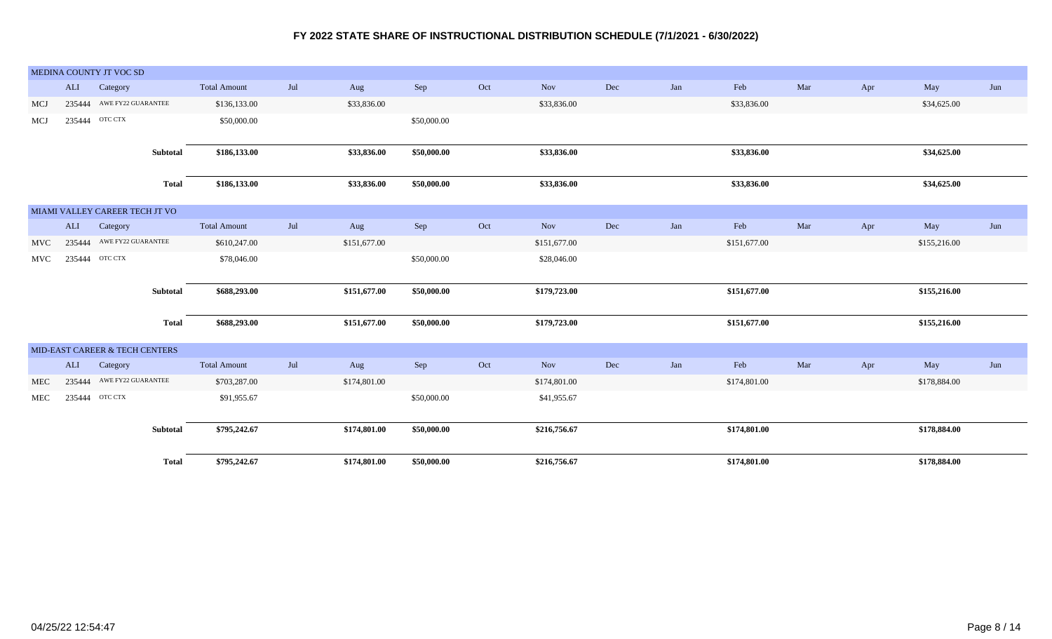|            |        | MEDINA COUNTY JT VOC SD        |                     |     |              |             |     |              |           |     |              |     |     |              |     |
|------------|--------|--------------------------------|---------------------|-----|--------------|-------------|-----|--------------|-----------|-----|--------------|-----|-----|--------------|-----|
|            | ALI    | Category                       | <b>Total Amount</b> | Jul | Aug          | Sep         | Oct | <b>Nov</b>   | Dec       | Jan | Feb          | Mar | Apr | May          | Jun |
| MCJ        | 235444 | AWE FY22 GUARANTEE             | \$136,133.00        |     | \$33,836.00  |             |     | \$33,836.00  |           |     | \$33,836.00  |     |     | \$34,625.00  |     |
| MCJ        |        | 235444 OTC CTX                 | \$50,000.00         |     |              | \$50,000.00 |     |              |           |     |              |     |     |              |     |
|            |        |                                |                     |     |              |             |     |              |           |     |              |     |     |              |     |
|            |        | Subtotal                       | \$186,133.00        |     | \$33,836.00  | \$50,000.00 |     | \$33,836.00  |           |     | \$33,836.00  |     |     | \$34,625.00  |     |
|            |        |                                |                     |     |              |             |     |              |           |     |              |     |     |              |     |
|            |        | <b>Total</b>                   | \$186,133.00        |     | \$33,836.00  | \$50,000.00 |     | \$33,836.00  |           |     | \$33,836.00  |     |     | \$34,625.00  |     |
|            |        | MIAMI VALLEY CAREER TECH JT VO |                     |     |              |             |     |              |           |     |              |     |     |              |     |
|            | ALI    | Category                       | <b>Total Amount</b> | Jul | Aug          | Sep         | Oct | Nov          | Dec       | Jan | Feb          | Mar | Apr | May          | Jun |
| <b>MVC</b> |        | 235444 AWE FY22 GUARANTEE      | \$610,247.00        |     | \$151,677.00 |             |     | \$151,677.00 |           |     | \$151,677.00 |     |     | \$155,216.00 |     |
| <b>MVC</b> |        | 235444 OTC CTX                 | \$78,046.00         |     |              | \$50,000.00 |     | \$28,046.00  |           |     |              |     |     |              |     |
|            |        |                                |                     |     |              |             |     |              |           |     |              |     |     |              |     |
|            |        | Subtotal                       | \$688,293.00        |     | \$151,677.00 | \$50,000.00 |     | \$179,723.00 |           |     | \$151,677.00 |     |     | \$155,216.00 |     |
|            |        |                                |                     |     |              |             |     |              |           |     |              |     |     |              |     |
|            |        | <b>Total</b>                   | \$688,293.00        |     | \$151,677.00 | \$50,000.00 |     | \$179,723.00 |           |     | \$151,677.00 |     |     | \$155,216.00 |     |
|            |        | MID-EAST CAREER & TECH CENTERS |                     |     |              |             |     |              |           |     |              |     |     |              |     |
|            | ALI    | Category                       | <b>Total Amount</b> | Jul | Aug          | ${\rm Sep}$ | Oct | Nov          | $\rm Dec$ | Jan | Feb          | Mar | Apr | May          | Jun |
| MEC        | 235444 | AWE FY22 GUARANTEE             | \$703,287.00        |     | \$174,801.00 |             |     | \$174,801.00 |           |     | \$174,801.00 |     |     | \$178,884.00 |     |
| <b>MEC</b> |        | 235444 OTC CTX                 | \$91,955.67         |     |              | \$50,000.00 |     | \$41,955.67  |           |     |              |     |     |              |     |
|            |        |                                |                     |     |              |             |     |              |           |     |              |     |     |              |     |
|            |        | Subtotal                       | \$795,242.67        |     | \$174,801.00 | \$50,000.00 |     | \$216,756.67 |           |     | \$174,801.00 |     |     | \$178,884.00 |     |
|            |        |                                |                     |     |              |             |     |              |           |     |              |     |     |              |     |
|            |        | <b>Total</b>                   | \$795,242.67        |     | \$174,801.00 | \$50,000.00 |     | \$216,756.67 |           |     | \$174,801.00 |     |     | \$178,884.00 |     |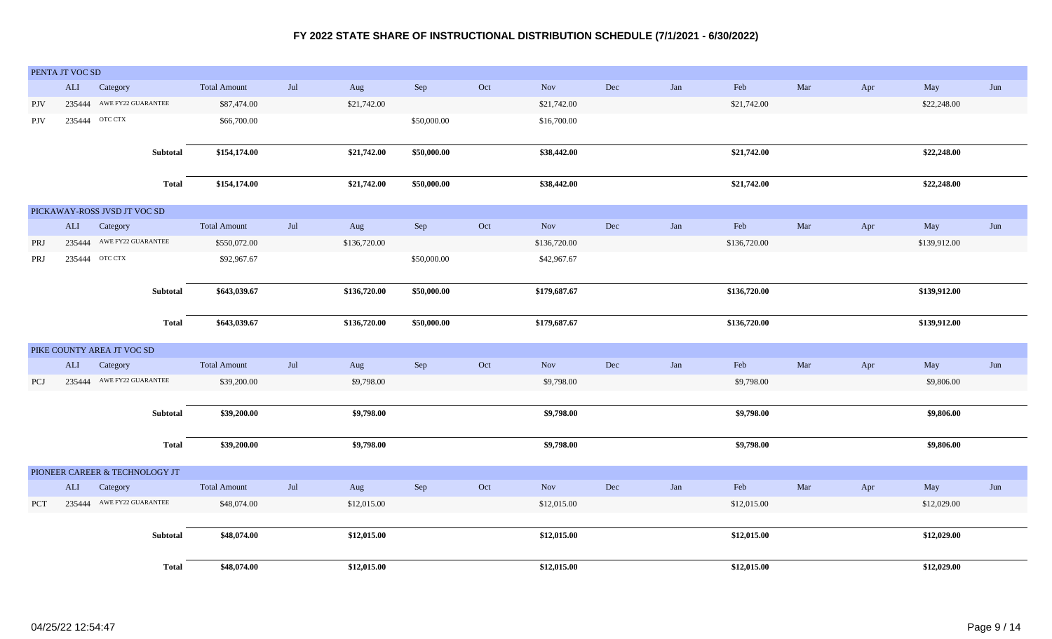|            | PENTA JT VOC SD |                                |              |                     |     |              |             |     |              |     |     |              |     |     |              |     |
|------------|-----------------|--------------------------------|--------------|---------------------|-----|--------------|-------------|-----|--------------|-----|-----|--------------|-----|-----|--------------|-----|
|            | ALI             | Category                       |              | <b>Total Amount</b> | Jul | Aug          | Sep         | Oct | <b>Nov</b>   | Dec | Jan | Feb          | Mar | Apr | May          | Jun |
| <b>PJV</b> |                 | 235444 AWE FY22 GUARANTEE      |              | \$87,474.00         |     | \$21,742.00  |             |     | \$21,742.00  |     |     | \$21,742.00  |     |     | \$22,248.00  |     |
| PJV        |                 | 235444 OTC CTX                 |              | \$66,700.00         |     |              | \$50,000.00 |     | \$16,700.00  |     |     |              |     |     |              |     |
|            |                 |                                |              |                     |     |              |             |     |              |     |     |              |     |     |              |     |
|            |                 |                                | Subtotal     | \$154,174.00        |     | \$21,742.00  | \$50,000.00 |     | \$38,442.00  |     |     | \$21,742.00  |     |     | \$22,248.00  |     |
|            |                 |                                | <b>Total</b> | \$154,174.00        |     | \$21,742.00  | \$50,000.00 |     | \$38,442.00  |     |     | \$21,742.00  |     |     | \$22,248.00  |     |
|            |                 | PICKAWAY-ROSS JVSD JT VOC SD   |              |                     |     |              |             |     |              |     |     |              |     |     |              |     |
|            | ALI             | Category                       |              | <b>Total Amount</b> | Jul | Aug          | Sep         | Oct | <b>Nov</b>   | Dec | Jan | Feb          | Mar | Apr | May          | Jun |
| PRJ        | 235444          | AWE FY22 GUARANTEE             |              | \$550,072.00        |     | \$136,720.00 |             |     | \$136,720.00 |     |     | \$136,720.00 |     |     | \$139,912.00 |     |
| <b>PRJ</b> | 235444          | OTC CTX                        |              | \$92,967.67         |     |              | \$50,000.00 |     | \$42,967.67  |     |     |              |     |     |              |     |
|            |                 |                                |              |                     |     |              |             |     |              |     |     |              |     |     |              |     |
|            |                 |                                | Subtotal     | \$643,039.67        |     | \$136,720.00 | \$50,000.00 |     | \$179,687.67 |     |     | \$136,720.00 |     |     | \$139,912.00 |     |
|            |                 |                                |              |                     |     |              |             |     |              |     |     |              |     |     |              |     |
|            |                 |                                | Total        | \$643,039.67        |     | \$136,720.00 | \$50,000.00 |     | \$179,687.67 |     |     | \$136,720.00 |     |     | \$139,912.00 |     |
|            |                 | PIKE COUNTY AREA JT VOC SD     |              |                     |     |              |             |     |              |     |     |              |     |     |              |     |
|            | <b>ALI</b>      | Category                       |              | <b>Total Amount</b> | Jul | Aug          | Sep         | Oct | <b>Nov</b>   | Dec | Jan | Feb          | Mar | Apr | May          | Jun |
| PCJ        | 235444          | AWE FY22 GUARANTEE             |              | \$39,200.00         |     | \$9,798.00   |             |     | \$9,798.00   |     |     | \$9,798.00   |     |     | \$9,806.00   |     |
|            |                 |                                |              |                     |     |              |             |     |              |     |     |              |     |     |              |     |
|            |                 |                                | Subtotal     | \$39,200.00         |     | \$9,798.00   |             |     | \$9,798.00   |     |     | \$9,798.00   |     |     | \$9,806.00   |     |
|            |                 |                                | Total        | \$39,200.00         |     | \$9,798.00   |             |     | \$9,798.00   |     |     | \$9,798.00   |     |     | \$9,806.00   |     |
|            |                 |                                |              |                     |     |              |             |     |              |     |     |              |     |     |              |     |
|            |                 | PIONEER CAREER & TECHNOLOGY JT |              |                     |     |              |             |     |              |     |     |              |     |     |              |     |
|            | ALI             | Category                       |              | <b>Total Amount</b> | Jul | Aug          | Sep         | Oct | Nov          | Dec | Jan | Feb          | Mar | Apr | May          | Jun |
| <b>PCT</b> |                 | 235444 AWE FY22 GUARANTEE      |              | \$48,074.00         |     | \$12,015.00  |             |     | \$12,015.00  |     |     | \$12,015.00  |     |     | \$12,029.00  |     |
|            |                 |                                |              |                     |     |              |             |     |              |     |     |              |     |     |              |     |
|            |                 |                                | Subtotal     | \$48,074.00         |     | \$12,015.00  |             |     | \$12,015.00  |     |     | \$12,015.00  |     |     | \$12,029.00  |     |
|            |                 |                                | <b>Total</b> | \$48,074.00         |     | \$12,015.00  |             |     | \$12,015.00  |     |     | \$12,015.00  |     |     | \$12,029.00  |     |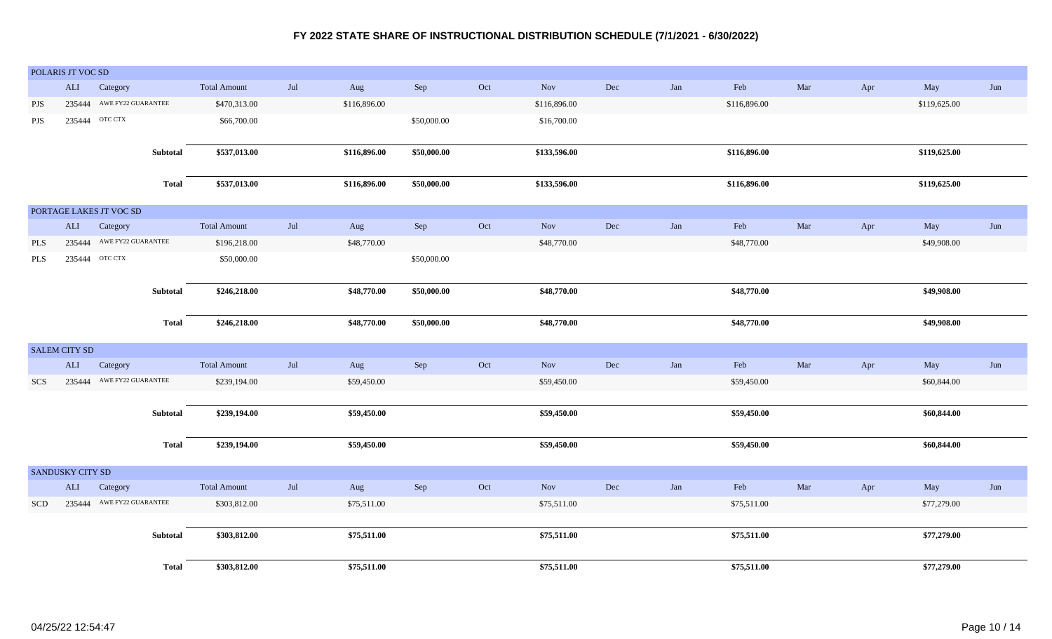|            | POLARIS JT VOC SD |                           |                 |                     |     |              |             |     |              |     |     |              |     |     |              |     |
|------------|-------------------|---------------------------|-----------------|---------------------|-----|--------------|-------------|-----|--------------|-----|-----|--------------|-----|-----|--------------|-----|
|            | ALI               | Category                  |                 | <b>Total Amount</b> | Jul | Aug          | Sep         | Oct | Nov          | Dec | Jan | Feb          | Mar | Apr | May          | Jun |
| <b>PJS</b> |                   | 235444 AWE FY22 GUARANTEE |                 | \$470,313.00        |     | \$116,896.00 |             |     | \$116,896.00 |     |     | \$116,896.00 |     |     | \$119,625.00 |     |
| <b>PJS</b> |                   | 235444 OTC CTX            |                 | \$66,700.00         |     |              | \$50,000.00 |     | \$16,700.00  |     |     |              |     |     |              |     |
|            |                   |                           |                 |                     |     |              |             |     |              |     |     |              |     |     |              |     |
|            |                   |                           | Subtotal        | \$537,013.00        |     | \$116,896.00 | \$50,000.00 |     | \$133,596.00 |     |     | \$116,896.00 |     |     | \$119,625.00 |     |
|            |                   |                           | <b>Total</b>    | \$537,013.00        |     | \$116,896.00 | \$50,000.00 |     | \$133,596.00 |     |     | \$116,896.00 |     |     | \$119,625.00 |     |
|            |                   | PORTAGE LAKES JT VOC SD   |                 |                     |     |              |             |     |              |     |     |              |     |     |              |     |
|            |                   | ALI Category              |                 | <b>Total Amount</b> | Jul | Aug          | Sep         | Oct | Nov          | Dec | Jan | Feb          | Mar | Apr | May          | Jun |
| PLS        |                   | 235444 AWE FY22 GUARANTEE |                 | \$196,218.00        |     | \$48,770.00  |             |     | \$48,770.00  |     |     | \$48,770.00  |     |     | \$49,908.00  |     |
| PLS        |                   | 235444 OTC CTX            |                 | \$50,000.00         |     |              | \$50,000.00 |     |              |     |     |              |     |     |              |     |
|            |                   |                           |                 |                     |     |              |             |     |              |     |     |              |     |     |              |     |
|            |                   |                           | Subtotal        | \$246,218.00        |     | \$48,770.00  | \$50,000.00 |     | \$48,770.00  |     |     | \$48,770.00  |     |     | \$49,908.00  |     |
|            |                   |                           |                 |                     |     |              |             |     |              |     |     |              |     |     |              |     |
|            |                   |                           | <b>Total</b>    | \$246,218.00        |     | \$48,770.00  | \$50,000.00 |     | \$48,770.00  |     |     | \$48,770.00  |     |     | \$49,908.00  |     |
|            | SALEM CITY SD     |                           |                 |                     |     |              |             |     |              |     |     |              |     |     |              |     |
|            | ALI               | Category                  |                 | <b>Total Amount</b> | Jul | Aug          | Sep         | Oct | Nov          | Dec | Jan | Feb          | Mar | Apr | May          | Jun |
| SCS        |                   | 235444 AWE FY22 GUARANTEE |                 | \$239,194.00        |     | \$59,450.00  |             |     | \$59,450.00  |     |     | \$59,450.00  |     |     | \$60,844.00  |     |
|            |                   |                           |                 |                     |     |              |             |     |              |     |     |              |     |     |              |     |
|            |                   |                           | <b>Subtotal</b> | \$239,194.00        |     | \$59,450.00  |             |     | \$59,450.00  |     |     | \$59,450.00  |     |     | \$60,844.00  |     |
|            |                   |                           |                 |                     |     |              |             |     |              |     |     |              |     |     |              |     |
|            |                   |                           | <b>Total</b>    | \$239,194.00        |     | \$59,450.00  |             |     | \$59,450.00  |     |     | \$59,450.00  |     |     | \$60,844.00  |     |
|            | SANDUSKY CITY SD  |                           |                 |                     |     |              |             |     |              |     |     |              |     |     |              |     |
|            | <b>ALI</b>        | Category                  |                 | <b>Total Amount</b> | Jul | Aug          | Sep         | Oct | Nov          | Dec | Jan | Feb          | Mar | Apr | May          | Jun |
| <b>SCD</b> |                   | 235444 AWE FY22 GUARANTEE |                 | \$303,812.00        |     | \$75,511.00  |             |     | \$75,511.00  |     |     | \$75,511.00  |     |     | \$77,279.00  |     |
|            |                   |                           |                 |                     |     |              |             |     |              |     |     |              |     |     |              |     |
|            |                   |                           | Subtotal        | \$303,812.00        |     | \$75,511.00  |             |     | \$75,511.00  |     |     | \$75,511.00  |     |     | \$77,279.00  |     |
|            |                   |                           |                 |                     |     |              |             |     |              |     |     |              |     |     |              |     |
|            |                   |                           |                 |                     |     |              |             |     |              |     |     |              |     |     |              |     |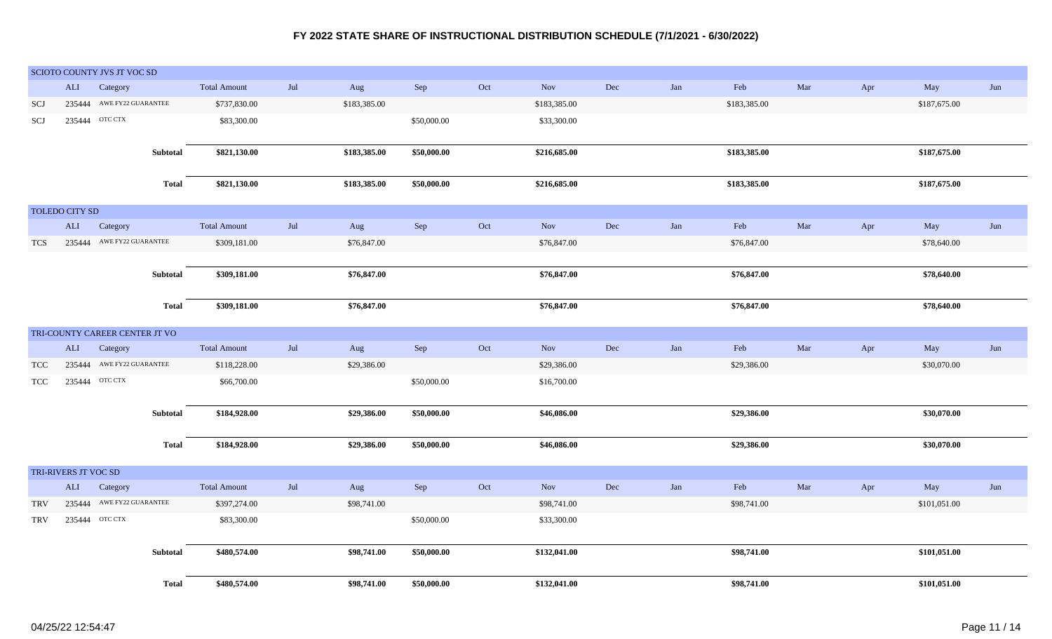| <b>ALI</b>   | Category            |                                                                                                                                | <b>Total Amount</b>                                                                                                                                                                                                                               | $\mathrm{Jul}$                                                                                                                            | Aug                   | ${\rm Sep}$                                                                           | Oct                                      | Nov          | $\rm Dec$                                                                                             | Jan              | ${\rm Feb}$  | $\operatorname{Mar}$                                                                                         | Apr        | May          | Jun                                                                                                    |
|--------------|---------------------|--------------------------------------------------------------------------------------------------------------------------------|---------------------------------------------------------------------------------------------------------------------------------------------------------------------------------------------------------------------------------------------------|-------------------------------------------------------------------------------------------------------------------------------------------|-----------------------|---------------------------------------------------------------------------------------|------------------------------------------|--------------|-------------------------------------------------------------------------------------------------------|------------------|--------------|--------------------------------------------------------------------------------------------------------------|------------|--------------|--------------------------------------------------------------------------------------------------------|
|              |                     |                                                                                                                                | \$737,830.00                                                                                                                                                                                                                                      |                                                                                                                                           | \$183,385.00          |                                                                                       |                                          | \$183,385.00 |                                                                                                       |                  | \$183,385.00 |                                                                                                              |            | \$187,675.00 |                                                                                                        |
|              |                     |                                                                                                                                | \$83,300.00                                                                                                                                                                                                                                       |                                                                                                                                           |                       | \$50,000.00                                                                           |                                          | \$33,300.00  |                                                                                                       |                  |              |                                                                                                              |            |              |                                                                                                        |
|              |                     |                                                                                                                                |                                                                                                                                                                                                                                                   |                                                                                                                                           |                       |                                                                                       |                                          |              |                                                                                                       |                  |              |                                                                                                              |            |              |                                                                                                        |
|              |                     |                                                                                                                                | \$821,130.00                                                                                                                                                                                                                                      |                                                                                                                                           | \$183,385.00          | \$50,000.00                                                                           |                                          | \$216,685.00 |                                                                                                       |                  | \$183,385.00 |                                                                                                              |            | \$187,675.00 |                                                                                                        |
|              |                     |                                                                                                                                |                                                                                                                                                                                                                                                   |                                                                                                                                           |                       |                                                                                       |                                          |              |                                                                                                       |                  |              |                                                                                                              |            |              |                                                                                                        |
|              |                     | <b>Total</b>                                                                                                                   | \$821,130.00                                                                                                                                                                                                                                      |                                                                                                                                           | \$183,385.00          | \$50,000.00                                                                           |                                          | \$216,685.00 |                                                                                                       |                  | \$183,385.00 |                                                                                                              |            | \$187,675.00 |                                                                                                        |
|              |                     |                                                                                                                                |                                                                                                                                                                                                                                                   |                                                                                                                                           |                       |                                                                                       |                                          |              |                                                                                                       |                  |              |                                                                                                              |            |              |                                                                                                        |
|              |                     |                                                                                                                                |                                                                                                                                                                                                                                                   |                                                                                                                                           |                       |                                                                                       |                                          |              |                                                                                                       |                  |              |                                                                                                              |            |              | Jun                                                                                                    |
|              |                     |                                                                                                                                |                                                                                                                                                                                                                                                   |                                                                                                                                           |                       |                                                                                       |                                          |              |                                                                                                       |                  |              |                                                                                                              |            |              |                                                                                                        |
|              |                     |                                                                                                                                |                                                                                                                                                                                                                                                   |                                                                                                                                           |                       |                                                                                       |                                          |              |                                                                                                       |                  |              |                                                                                                              |            |              |                                                                                                        |
|              |                     |                                                                                                                                |                                                                                                                                                                                                                                                   |                                                                                                                                           |                       |                                                                                       |                                          |              |                                                                                                       |                  |              |                                                                                                              |            |              |                                                                                                        |
|              |                     |                                                                                                                                |                                                                                                                                                                                                                                                   |                                                                                                                                           |                       |                                                                                       |                                          |              |                                                                                                       |                  |              |                                                                                                              |            |              |                                                                                                        |
|              |                     |                                                                                                                                |                                                                                                                                                                                                                                                   |                                                                                                                                           |                       |                                                                                       |                                          |              |                                                                                                       |                  |              |                                                                                                              |            |              |                                                                                                        |
|              |                     |                                                                                                                                |                                                                                                                                                                                                                                                   |                                                                                                                                           |                       |                                                                                       |                                          |              |                                                                                                       |                  |              |                                                                                                              |            |              |                                                                                                        |
|              |                     |                                                                                                                                |                                                                                                                                                                                                                                                   |                                                                                                                                           |                       |                                                                                       |                                          |              |                                                                                                       |                  |              |                                                                                                              |            |              |                                                                                                        |
| $\mbox{ALI}$ | Category            |                                                                                                                                | <b>Total Amount</b>                                                                                                                                                                                                                               | $\mathrm{Jul}$                                                                                                                            | Aug                   | Sep                                                                                   | Oct                                      | Nov          | Dec                                                                                                   | Jan              | ${\rm Feb}$  | $\operatorname{Mar}$                                                                                         | Apr        | May          | Jun                                                                                                    |
|              |                     |                                                                                                                                | \$118,228.00                                                                                                                                                                                                                                      |                                                                                                                                           | \$29,386.00           |                                                                                       |                                          | \$29,386.00  |                                                                                                       |                  | \$29,386.00  |                                                                                                              |            | \$30,070.00  |                                                                                                        |
|              |                     |                                                                                                                                | \$66,700.00                                                                                                                                                                                                                                       |                                                                                                                                           |                       | \$50,000.00                                                                           |                                          | \$16,700.00  |                                                                                                       |                  |              |                                                                                                              |            |              |                                                                                                        |
|              |                     |                                                                                                                                |                                                                                                                                                                                                                                                   |                                                                                                                                           |                       |                                                                                       |                                          |              |                                                                                                       |                  |              |                                                                                                              |            |              |                                                                                                        |
|              |                     |                                                                                                                                | \$184,928.00                                                                                                                                                                                                                                      |                                                                                                                                           | \$29,386.00           | \$50,000.00                                                                           |                                          | \$46,086.00  |                                                                                                       |                  | \$29,386.00  |                                                                                                              |            | \$30,070.00  |                                                                                                        |
|              |                     |                                                                                                                                |                                                                                                                                                                                                                                                   |                                                                                                                                           |                       |                                                                                       |                                          |              |                                                                                                       |                  |              |                                                                                                              |            |              |                                                                                                        |
|              |                     | <b>Total</b>                                                                                                                   | \$184,928.00                                                                                                                                                                                                                                      |                                                                                                                                           | \$29,386.00           | \$50,000.00                                                                           |                                          | \$46,086.00  |                                                                                                       |                  |              |                                                                                                              |            |              |                                                                                                        |
|              |                     |                                                                                                                                |                                                                                                                                                                                                                                                   |                                                                                                                                           |                       |                                                                                       |                                          |              |                                                                                                       |                  |              |                                                                                                              |            |              |                                                                                                        |
|              |                     |                                                                                                                                |                                                                                                                                                                                                                                                   |                                                                                                                                           |                       |                                                                                       |                                          |              |                                                                                                       |                  |              |                                                                                                              |            |              | Jun                                                                                                    |
|              |                     |                                                                                                                                |                                                                                                                                                                                                                                                   |                                                                                                                                           |                       |                                                                                       |                                          |              |                                                                                                       |                  |              |                                                                                                              |            |              |                                                                                                        |
|              |                     |                                                                                                                                |                                                                                                                                                                                                                                                   |                                                                                                                                           |                       |                                                                                       |                                          |              |                                                                                                       |                  |              |                                                                                                              |            |              |                                                                                                        |
|              |                     |                                                                                                                                |                                                                                                                                                                                                                                                   |                                                                                                                                           |                       |                                                                                       |                                          |              |                                                                                                       |                  |              |                                                                                                              |            |              |                                                                                                        |
|              |                     |                                                                                                                                |                                                                                                                                                                                                                                                   |                                                                                                                                           |                       |                                                                                       |                                          |              |                                                                                                       |                  |              |                                                                                                              |            |              |                                                                                                        |
|              |                     |                                                                                                                                |                                                                                                                                                                                                                                                   |                                                                                                                                           |                       |                                                                                       |                                          |              |                                                                                                       |                  |              |                                                                                                              |            |              |                                                                                                        |
|              |                     | <b>Total</b>                                                                                                                   | \$480,574.00                                                                                                                                                                                                                                      |                                                                                                                                           | \$98,741.00           | \$50,000.00                                                                           |                                          | \$132,041.00 |                                                                                                       |                  | \$98,741.00  |                                                                                                              |            | \$101,051.00 |                                                                                                        |
|              | $\mbox{ALI}$<br>ALI | 235444 OTC CTX<br>TOLEDO CITY SD<br>Category<br>235444<br>235444 OTC CTX<br>TRI-RIVERS JT VOC SD<br>Category<br>235444 OTC CTX | SCIOTO COUNTY JVS JT VOC SD<br>235444 AWE FY22 GUARANTEE<br><b>Subtotal</b><br>235444 AWE FY22 GUARANTEE<br>Subtotal<br><b>Total</b><br>TRI-COUNTY CAREER CENTER JT VO<br>AWE FY22 GUARANTEE<br>Subtotal<br>235444 AWE FY22 GUARANTEE<br>Subtotal | <b>Total Amount</b><br>\$309,181.00<br>\$309,181.00<br>\$309,181.00<br><b>Total Amount</b><br>\$397,274.00<br>\$83,300.00<br>\$480,574.00 | $\mathrm{Jul}$<br>Jul | Aug<br>\$76,847.00<br>\$76,847.00<br>\$76,847.00<br>Aug<br>\$98,741.00<br>\$98,741.00 | Sep<br>Sep<br>\$50,000.00<br>\$50,000.00 | Oct<br>Oct   | Nov<br>\$76,847.00<br>\$76,847.00<br>\$76,847.00<br>Nov<br>\$98,741.00<br>\$33,300.00<br>\$132,041.00 | $\rm Dec$<br>Dec | Jan<br>Jan   | Feb<br>\$76,847.00<br>\$76,847.00<br>\$76,847.00<br>\$29,386.00<br>${\rm Feb}$<br>\$98,741.00<br>\$98,741.00 | Mar<br>Mar | Apr<br>Apr   | May<br>\$78,640.00<br>\$78,640.00<br>\$78,640.00<br>\$30,070.00<br>May<br>\$101,051.00<br>\$101,051.00 |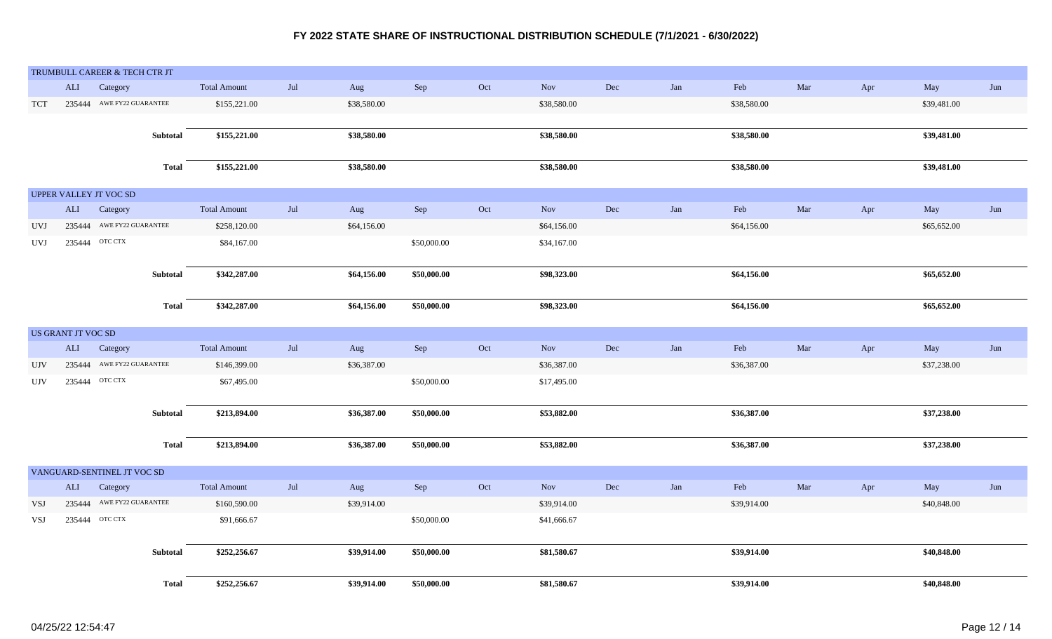|            |                    | TRUMBULL CAREER & TECH CTR JT |              |                     |     |             |             |     |             |           |     |             |     |     |             |     |
|------------|--------------------|-------------------------------|--------------|---------------------|-----|-------------|-------------|-----|-------------|-----------|-----|-------------|-----|-----|-------------|-----|
|            | ALI                | Category                      |              | <b>Total Amount</b> | Jul | Aug         | ${\rm Sep}$ | Oct | Nov         | Dec       | Jan | Feb         | Mar | Apr | May         | Jun |
| <b>TCT</b> |                    | 235444 AWE FY22 GUARANTEE     |              | \$155,221.00        |     | \$38,580.00 |             |     | \$38,580.00 |           |     | \$38,580.00 |     |     | \$39,481.00 |     |
|            |                    |                               |              |                     |     |             |             |     |             |           |     |             |     |     |             |     |
|            |                    |                               | Subtotal     | \$155,221.00        |     | \$38,580.00 |             |     | \$38,580.00 |           |     | \$38,580.00 |     |     | \$39,481.00 |     |
|            |                    |                               |              |                     |     |             |             |     |             |           |     |             |     |     |             |     |
|            |                    |                               | <b>Total</b> | \$155,221.00        |     | \$38,580.00 |             |     | \$38,580.00 |           |     | \$38,580.00 |     |     | \$39,481.00 |     |
|            |                    |                               |              |                     |     |             |             |     |             |           |     |             |     |     |             |     |
|            |                    | UPPER VALLEY JT VOC SD        |              |                     |     |             |             |     |             |           |     |             |     |     |             |     |
|            | ALI                | Category                      |              | <b>Total Amount</b> | Jul | Aug         | ${\rm Sep}$ | Oct | Nov         | Dec       | Jan | Feb         | Mar | Apr | May         | Jun |
| <b>UVJ</b> |                    | 235444 AWE FY22 GUARANTEE     |              | \$258,120.00        |     | \$64,156.00 |             |     | \$64,156.00 |           |     | \$64,156.00 |     |     | \$65,652.00 |     |
| <b>UVJ</b> |                    | 235444 OTC CTX                |              | \$84,167.00         |     |             | \$50,000.00 |     | \$34,167.00 |           |     |             |     |     |             |     |
|            |                    |                               |              |                     |     |             |             |     |             |           |     |             |     |     |             |     |
|            |                    |                               | Subtotal     | \$342,287.00        |     | \$64,156.00 | \$50,000.00 |     | \$98,323.00 |           |     | \$64,156.00 |     |     | \$65,652.00 |     |
|            |                    |                               |              |                     |     |             |             |     |             |           |     |             |     |     |             |     |
|            |                    |                               | <b>Total</b> | \$342,287.00        |     | \$64,156.00 | \$50,000.00 |     | \$98,323.00 |           |     | \$64,156.00 |     |     | \$65,652.00 |     |
|            | US GRANT JT VOC SD |                               |              |                     |     |             |             |     |             |           |     |             |     |     |             |     |
|            | ALI                | Category                      |              | <b>Total Amount</b> | Jul | Aug         | Sep         | Oct | Nov         | Dec       | Jan | Feb         | Mar | Apr | May         | Jun |
|            |                    | 235444 AWE FY22 GUARANTEE     |              |                     |     | \$36,387.00 |             |     | \$36,387.00 |           |     | \$36,387.00 |     |     | \$37,238.00 |     |
| <b>UJV</b> |                    |                               |              | \$146,399.00        |     |             |             |     |             |           |     |             |     |     |             |     |
| <b>UJV</b> |                    | 235444 OTC CTX                |              | \$67,495.00         |     |             | \$50,000.00 |     | \$17,495.00 |           |     |             |     |     |             |     |
|            |                    |                               | Subtotal     | \$213,894.00        |     | \$36,387.00 | \$50,000.00 |     | \$53,882.00 |           |     | \$36,387.00 |     |     | \$37,238.00 |     |
|            |                    |                               |              |                     |     |             |             |     |             |           |     |             |     |     |             |     |
|            |                    |                               | <b>Total</b> | \$213,894.00        |     | \$36,387.00 | \$50,000.00 |     | \$53,882.00 |           |     | \$36,387.00 |     |     | \$37,238.00 |     |
|            |                    |                               |              |                     |     |             |             |     |             |           |     |             |     |     |             |     |
|            |                    | VANGUARD-SENTINEL JT VOC SD   |              |                     |     |             |             |     |             |           |     |             |     |     |             |     |
|            | ALI                | Category                      |              | <b>Total Amount</b> | Jul | Aug         | Sep         | Oct | Nov         | $\rm Dec$ | Jan | Feb         | Mar | Apr | May         | Jun |
| VSJ        |                    | 235444 AWE FY22 GUARANTEE     |              | \$160,590.00        |     | \$39,914.00 |             |     | \$39,914.00 |           |     | \$39,914.00 |     |     | \$40,848.00 |     |
| VSJ        |                    | 235444 OTC CTX                |              | \$91,666.67         |     |             | \$50,000.00 |     | \$41,666.67 |           |     |             |     |     |             |     |
|            |                    |                               |              |                     |     |             |             |     |             |           |     |             |     |     |             |     |
|            |                    |                               | Subtotal     | \$252,256.67        |     | \$39,914.00 | \$50,000.00 |     | \$81,580.67 |           |     | \$39,914.00 |     |     | \$40,848.00 |     |
|            |                    |                               |              |                     |     |             |             |     |             |           |     |             |     |     |             |     |
|            |                    |                               | <b>Total</b> | \$252,256.67        |     | \$39,914.00 | \$50,000.00 |     | \$81,580.67 |           |     | \$39,914.00 |     |     | \$40,848.00 |     |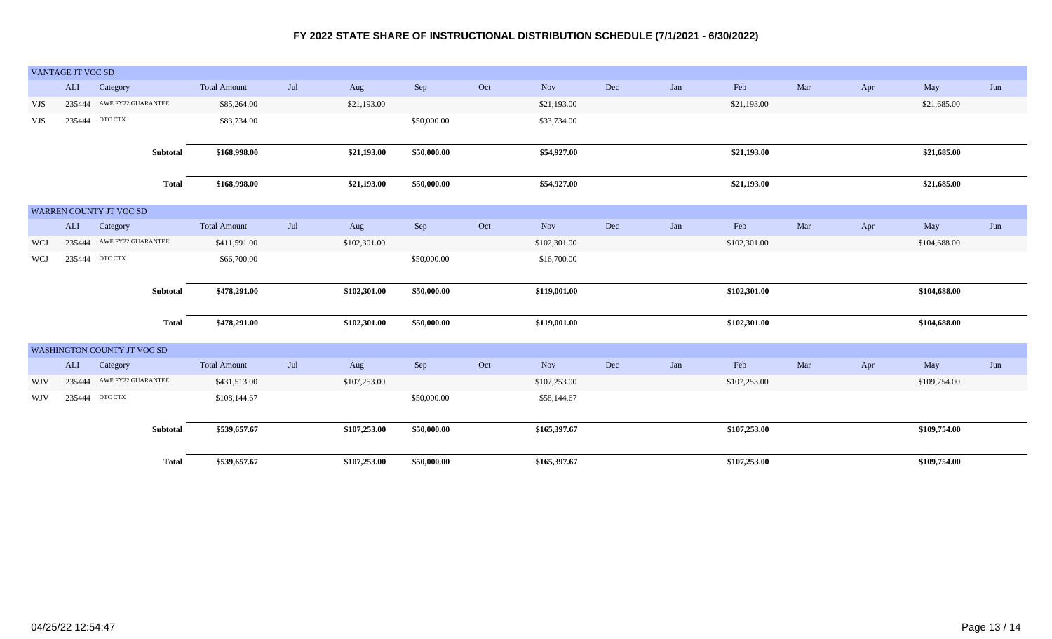| VANTAGE JT VOC SD              |        |                             |              |                     |     |              |             |     |              |     |     |              |     |     |              |     |
|--------------------------------|--------|-----------------------------|--------------|---------------------|-----|--------------|-------------|-----|--------------|-----|-----|--------------|-----|-----|--------------|-----|
|                                | ALI    | Category                    |              | <b>Total Amount</b> | Jul | Aug          | Sep         | Oct | Nov          | Dec | Jan | Feb          | Mar | Apr | May          | Jun |
| VJS                            |        | 235444 AWE FY22 GUARANTEE   |              | \$85,264.00         |     | \$21,193.00  |             |     | \$21,193.00  |     |     | \$21,193.00  |     |     | \$21,685.00  |     |
| VJS                            | 235444 | OTC CTX                     |              | \$83,734.00         |     |              | \$50,000.00 |     | \$33,734.00  |     |     |              |     |     |              |     |
|                                |        |                             |              |                     |     |              |             |     |              |     |     |              |     |     |              |     |
|                                |        | Subtotal                    |              | \$168,998.00        |     | \$21,193.00  | \$50,000.00 |     | \$54,927.00  |     |     | \$21,193.00  |     |     | \$21,685.00  |     |
|                                |        |                             | <b>Total</b> | \$168,998.00        |     | \$21,193.00  | \$50,000.00 |     | \$54,927.00  |     |     | \$21,193.00  |     |     | \$21,685.00  |     |
| <b>WARREN COUNTY JT VOC SD</b> |        |                             |              |                     |     |              |             |     |              |     |     |              |     |     |              |     |
|                                |        | ALI Category                |              | <b>Total Amount</b> | Jul | Aug          | Sep         | Oct | Nov          | Dec | Jan | Feb          | Mar | Apr | May          | Jun |
| WCJ                            |        | 235444 AWE FY22 GUARANTEE   |              | \$411,591.00        |     | \$102,301.00 |             |     | \$102,301.00 |     |     | \$102,301.00 |     |     | \$104,688.00 |     |
| WCJ                            |        | 235444 OTC CTX              |              | \$66,700.00         |     |              | \$50,000.00 |     | \$16,700.00  |     |     |              |     |     |              |     |
|                                |        |                             |              |                     |     |              |             |     |              |     |     |              |     |     |              |     |
|                                |        |                             | Subtotal     | \$478,291.00        |     | \$102,301.00 | \$50,000.00 |     | \$119,001.00 |     |     | \$102,301.00 |     |     | \$104,688.00 |     |
|                                |        |                             | Total        | \$478,291.00        |     | \$102,301.00 | \$50,000.00 |     | \$119,001.00 |     |     | \$102,301.00 |     |     | \$104,688.00 |     |
|                                |        | WASHINGTON COUNTY JT VOC SD |              |                     |     |              |             |     |              |     |     |              |     |     |              |     |
|                                | ALI    | Category                    |              | <b>Total Amount</b> | Jul | Aug          | Sep         | Oct | Nov          | Dec | Jan | Feb          | Mar | Apr | May          | Jun |
| <b>WJV</b>                     |        | 235444 AWE FY22 GUARANTEE   |              | \$431,513.00        |     | \$107,253.00 |             |     | \$107,253.00 |     |     | \$107,253.00 |     |     | \$109,754.00 |     |
| <b>WJV</b>                     |        | 235444 OTC CTX              |              | \$108,144.67        |     |              | \$50,000.00 |     | \$58,144.67  |     |     |              |     |     |              |     |
|                                |        |                             |              |                     |     |              |             |     |              |     |     |              |     |     |              |     |
|                                |        |                             | Subtotal     | \$539,657.67        |     | \$107,253.00 | \$50,000.00 |     | \$165,397.67 |     |     | \$107,253.00 |     |     | \$109,754.00 |     |
|                                |        |                             | <b>Total</b> | \$539,657.67        |     | \$107,253.00 | \$50,000.00 |     | \$165,397.67 |     |     | \$107,253.00 |     |     | \$109,754.00 |     |